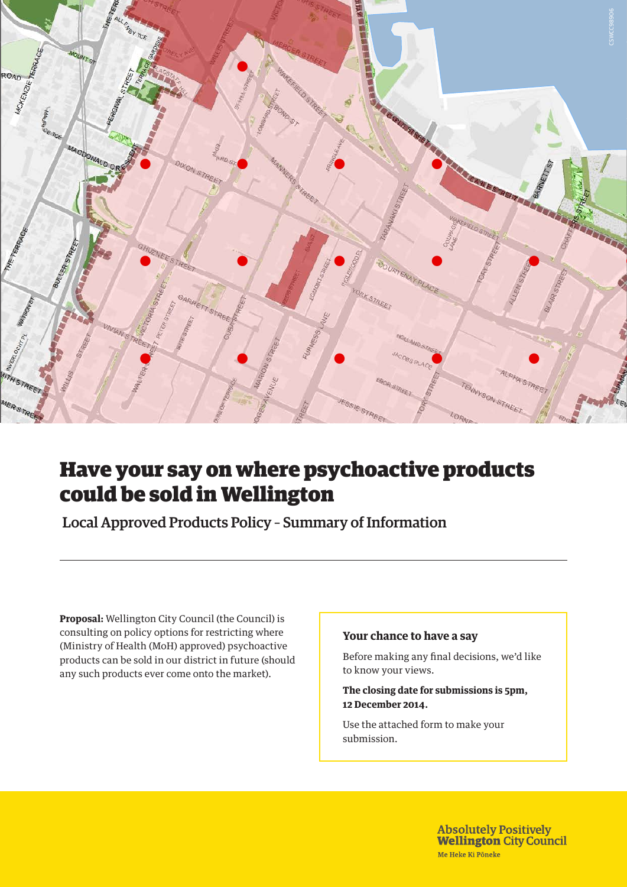

### . The contract of the contract of the contract of the contract of the contract of the contract of the contract of the contract of the contract of the contract of the contract of the contract of the contract of the contrac Have your say on where psychoactive products could be sold in Wellington

Local Approved Products Policy – Summary of Information

**Proposal:** Wellington City Council (the Council) is consulting on policy options for restricting where (Ministry of Health (MoH) approved) psychoactive products can be sold in our district in future (should any such products ever come onto the market).

### **Your chance to have a say**

Before making any final decisions, we'd like to know your views.

0 105 210 420 **The closing date for submissions is 5pm, 12 December 2014.**

 $\blacksquare$  Maximum density of  $\blacksquare$  and  $\blacksquare$  and  $\blacksquare$  and  $\blacksquare$  and  $\blacksquare$  and  $\blacksquare$  and  $\blacksquare$  and  $\blacksquare$  and  $\blacksquare$  and  $\blacksquare$  and  $\blacksquare$  and  $\blacksquare$  and  $\blacksquare$  and  $\blacksquare$  and  $\blacksquare$  and  $\blacksquare$  and  $\blacksquare$  and  $\blacksquare$  a Use the attached form to make your submission.

> **Absolutely Positively** REFERENCE: **Wellington City Council** Date: 13/10/2014<br>Date: 13/10/2014

scale 1:8,000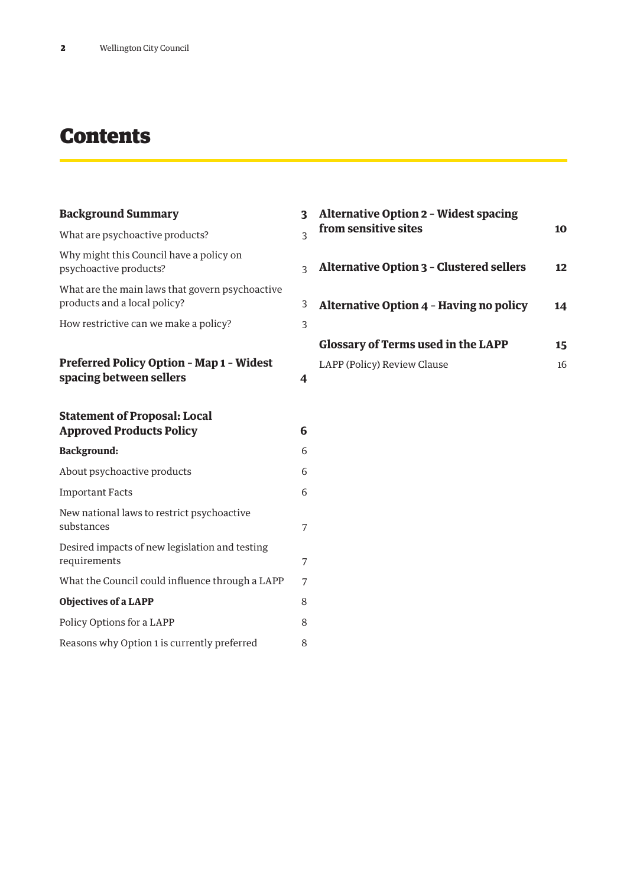## **Contents**

| <b>Background Summary</b>                                                       | 3 |
|---------------------------------------------------------------------------------|---|
| What are psychoactive products?                                                 | 3 |
| Why might this Council have a policy on<br>psychoactive products?               | 3 |
| What are the main laws that govern psychoactive<br>products and a local policy? | 3 |
| How restrictive can we make a policy?                                           | 3 |
| <b>Preferred Policy Option - Map 1 - Widest</b><br>spacing between sellers      | 4 |
| <b>Statement of Proposal: Local</b><br><b>Approved Products Policy</b>          | 6 |
| <b>Background:</b>                                                              | 6 |
| About psychoactive products                                                     | 6 |
| <b>Important Facts</b>                                                          | 6 |
| New national laws to restrict psychoactive<br>substances                        | 7 |
| Desired impacts of new legislation and testing<br>requirements                  | 7 |
| What the Council could influence through a LAPP                                 | 7 |
| <b>Objectives of a LAPP</b>                                                     | 8 |
| Policy Options for a LAPP                                                       | 8 |
| Reasons why Option 1 is currently preferred                                     | 8 |

| <b>Alternative Option 2 - Widest spacing</b><br>from sensitive sites | 1Ω |
|----------------------------------------------------------------------|----|
| <b>Alternative Option 3 - Clustered sellers</b>                      | 12 |
| <b>Alternative Option 4 - Having no policy</b>                       | 14 |
| <b>Glossary of Terms used in the LAPP</b>                            | 15 |
| LAPP (Policy) Review Clause                                          | 16 |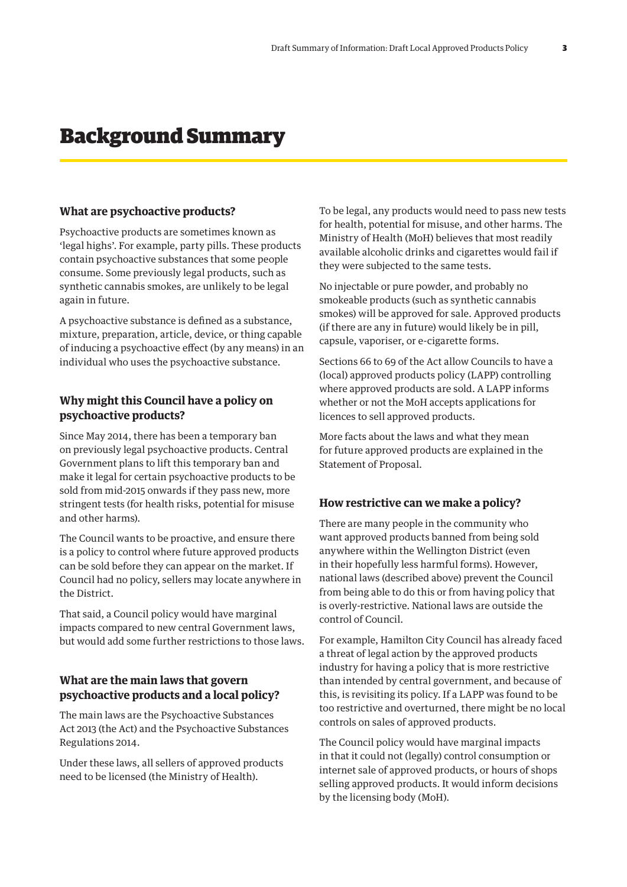### Background Summary

#### **What are psychoactive products?**

Psychoactive products are sometimes known as 'legal highs'. For example, party pills. These products contain psychoactive substances that some people consume. Some previously legal products, such as synthetic cannabis smokes, are unlikely to be legal again in future.

A psychoactive substance is defined as a substance, mixture, preparation, article, device, or thing capable of inducing a psychoactive effect (by any means) in an individual who uses the psychoactive substance.

#### **Why might this Council have a policy on psychoactive products?**

Since May 2014, there has been a temporary ban on previously legal psychoactive products. Central Government plans to lift this temporary ban and make it legal for certain psychoactive products to be sold from mid-2015 onwards if they pass new, more stringent tests (for health risks, potential for misuse and other harms).

The Council wants to be proactive, and ensure there is a policy to control where future approved products can be sold before they can appear on the market. If Council had no policy, sellers may locate anywhere in the District.

That said, a Council policy would have marginal impacts compared to new central Government laws, but would add some further restrictions to those laws.

#### **What are the main laws that govern psychoactive products and a local policy?**

The main laws are the Psychoactive Substances Act 2013 (the Act) and the Psychoactive Substances Regulations 2014.

Under these laws, all sellers of approved products need to be licensed (the Ministry of Health).

To be legal, any products would need to pass new tests for health, potential for misuse, and other harms. The Ministry of Health (MoH) believes that most readily available alcoholic drinks and cigarettes would fail if they were subjected to the same tests.

No injectable or pure powder, and probably no smokeable products (such as synthetic cannabis smokes) will be approved for sale. Approved products (if there are any in future) would likely be in pill, capsule, vaporiser, or e-cigarette forms.

Sections 66 to 69 of the Act allow Councils to have a (local) approved products policy (LAPP) controlling where approved products are sold. A LAPP informs whether or not the MoH accepts applications for licences to sell approved products.

More facts about the laws and what they mean for future approved products are explained in the Statement of Proposal.

#### **How restrictive can we make a policy?**

There are many people in the community who want approved products banned from being sold anywhere within the Wellington District (even in their hopefully less harmful forms). However, national laws (described above) prevent the Council from being able to do this or from having policy that is overly-restrictive. National laws are outside the control of Council.

For example, Hamilton City Council has already faced a threat of legal action by the approved products industry for having a policy that is more restrictive than intended by central government, and because of this, is revisiting its policy. If a LAPP was found to be too restrictive and overturned, there might be no local controls on sales of approved products.

The Council policy would have marginal impacts in that it could not (legally) control consumption or internet sale of approved products, or hours of shops selling approved products. It would inform decisions by the licensing body (MoH).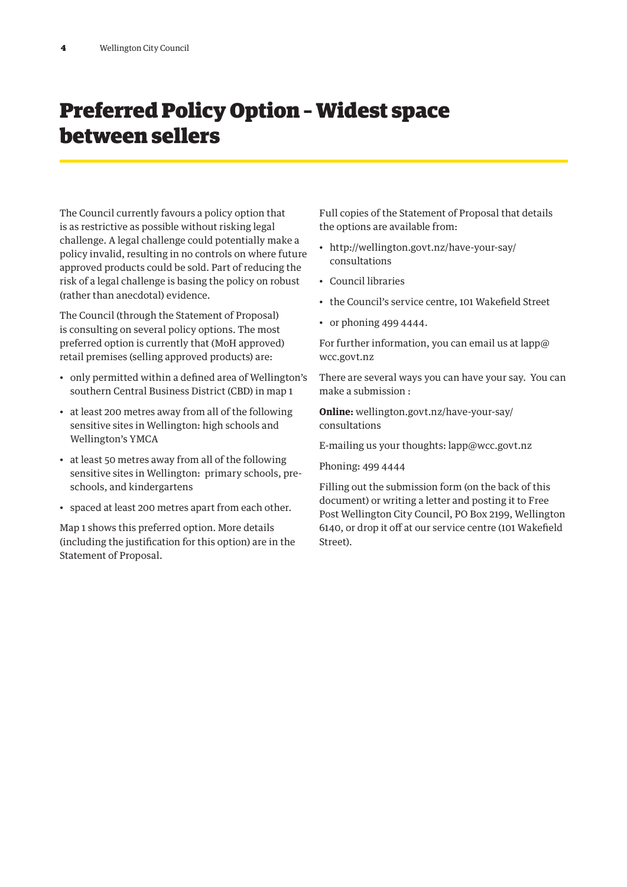# Preferred Policy Option – Widest space between sellers

The Council currently favours a policy option that is as restrictive as possible without risking legal challenge. A legal challenge could potentially make a policy invalid, resulting in no controls on where future approved products could be sold. Part of reducing the risk of a legal challenge is basing the policy on robust (rather than anecdotal) evidence.

The Council (through the Statement of Proposal) is consulting on several policy options. The most preferred option is currently that (MoH approved) retail premises (selling approved products) are:

- only permitted within a defined area of Wellington's southern Central Business District (CBD) in map 1
- at least 200 metres away from all of the following sensitive sites in Wellington: high schools and Wellington's YMCA
- at least 50 metres away from all of the following sensitive sites in Wellington: primary schools, preschools, and kindergartens
- spaced at least 200 metres apart from each other.

Map 1 shows this preferred option. More details (including the justification for this option) are in the Statement of Proposal.

Full copies of the Statement of Proposal that details the options are available from:

- http://wellington.govt.nz/have-your-say/ consultations
- Council libraries
- the Council's service centre, 101 Wakefield Street
- or phoning 499 4444.

For further information, you can email us at lapp@ wcc.govt.nz

There are several ways you can have your say. You can make a submission :

**Online:** wellington.govt.nz/have-your-say/ consultations

E-mailing us your thoughts: lapp@wcc.govt.nz

Phoning: 499 4444

Filling out the submission form (on the back of this document) or writing a letter and posting it to Free Post Wellington City Council, PO Box 2199, Wellington 6140, or drop it off at our service centre (101 Wakefield Street).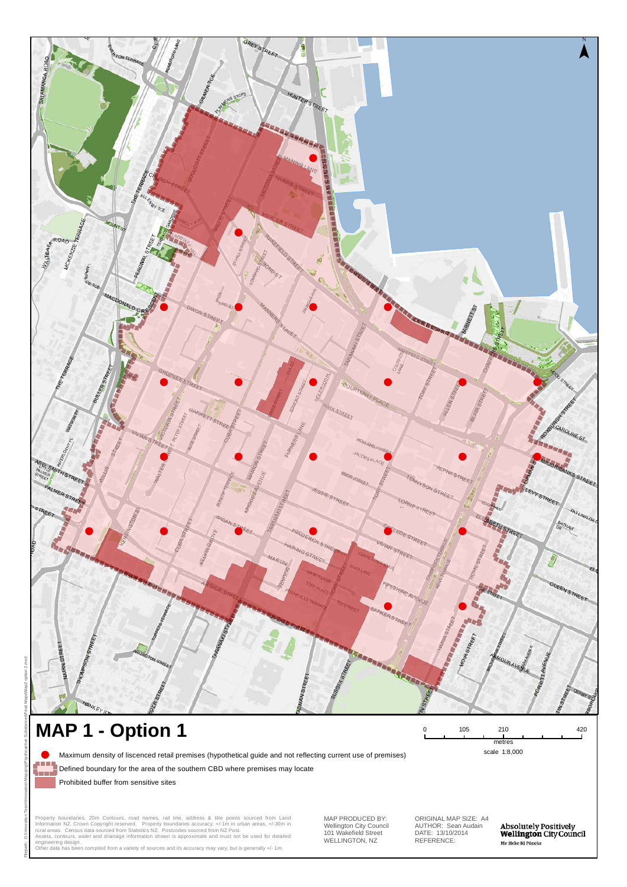

101 Wakefield Street WELLINGTON, NZ

REFERENCE: AUTHOR: Sean Audain DATE: 13/10/2014

Absolutely Positively<br>**Wellington** City Council Me Heke Ki Põneke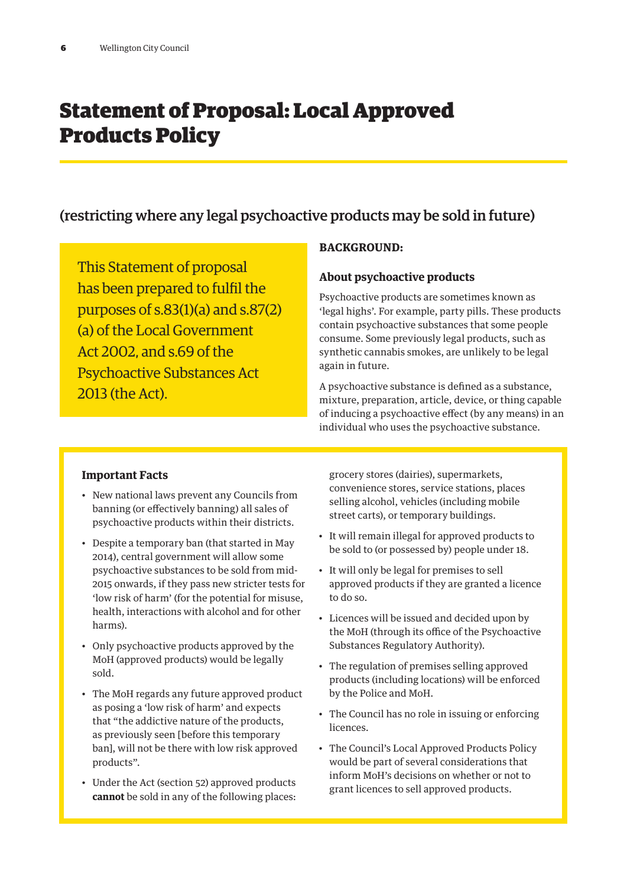## Statement of Proposal: Local Approved Products Policy

### (restricting where any legal psychoactive products may be sold in future)

This Statement of proposal has been prepared to fulfil the purposes of s.83(1)(a) and s.87(2) (a) of the Local Government Act 2002, and s.69 of the Psychoactive Substances Act 2013 (the Act).

#### **BACKGROUND:**

#### **About psychoactive products**

Psychoactive products are sometimes known as 'legal highs'. For example, party pills. These products contain psychoactive substances that some people consume. Some previously legal products, such as synthetic cannabis smokes, are unlikely to be legal again in future.

A psychoactive substance is defined as a substance, mixture, preparation, article, device, or thing capable of inducing a psychoactive effect (by any means) in an individual who uses the psychoactive substance.

#### **Important Facts**

- New national laws prevent any Councils from banning (or effectively banning) all sales of psychoactive products within their districts.
- Despite a temporary ban (that started in May 2014), central government will allow some psychoactive substances to be sold from mid-2015 onwards, if they pass new stricter tests for 'low risk of harm' (for the potential for misuse, health, interactions with alcohol and for other harms).
- Only psychoactive products approved by the MoH (approved products) would be legally sold.
- The MoH regards any future approved product as posing a 'low risk of harm' and expects that "the addictive nature of the products, as previously seen [before this temporary ban], will not be there with low risk approved products".
- Under the Act (section 52) approved products **cannot** be sold in any of the following places:

grocery stores (dairies), supermarkets, convenience stores, service stations, places selling alcohol, vehicles (including mobile street carts), or temporary buildings.

- It will remain illegal for approved products to be sold to (or possessed by) people under 18.
- It will only be legal for premises to sell approved products if they are granted a licence to do so.
- Licences will be issued and decided upon by the MoH (through its office of the Psychoactive Substances Regulatory Authority).
- The regulation of premises selling approved products (including locations) will be enforced by the Police and MoH.
- The Council has no role in issuing or enforcing licences.
- The Council's Local Approved Products Policy would be part of several considerations that inform MoH's decisions on whether or not to grant licences to sell approved products.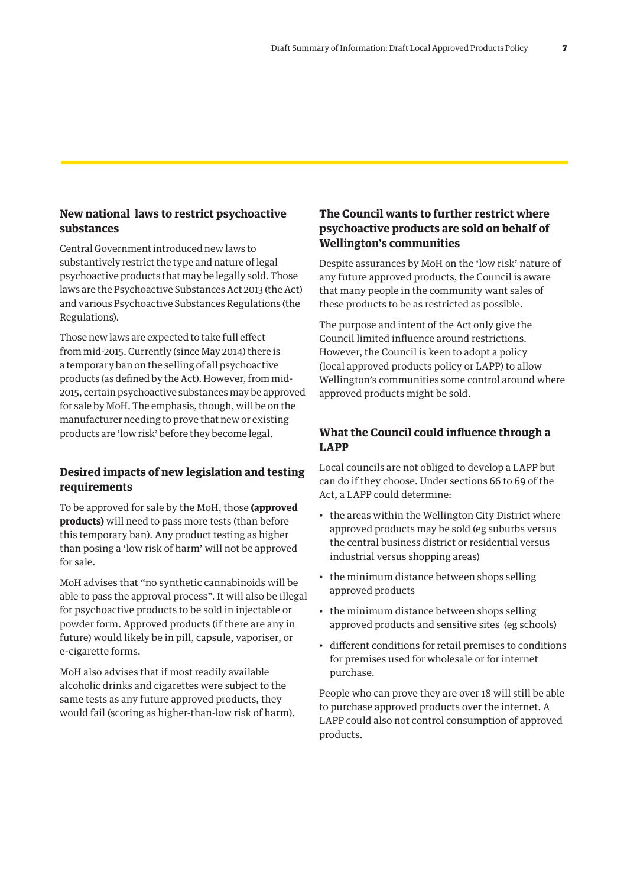#### **New national laws to restrict psychoactive substances**

Central Government introduced new laws to substantively restrict the type and nature of legal psychoactive products that may be legally sold. Those laws are the Psychoactive Substances Act 2013 (the Act) and various Psychoactive Substances Regulations (the Regulations).

Those new laws are expected to take full effect from mid-2015. Currently (since May 2014) there is a temporary ban on the selling of all psychoactive products (as defined by the Act). However, from mid-2015, certain psychoactive substances may be approved for sale by MoH. The emphasis, though, will be on the manufacturer needing to prove that new or existing products are 'low risk' before they become legal.

#### **Desired impacts of new legislation and testing requirements**

To be approved for sale by the MoH, those **(approved products)** will need to pass more tests (than before this temporary ban). Any product testing as higher than posing a 'low risk of harm' will not be approved for sale.

MoH advises that "no synthetic cannabinoids will be able to pass the approval process". It will also be illegal for psychoactive products to be sold in injectable or powder form. Approved products (if there are any in future) would likely be in pill, capsule, vaporiser, or e-cigarette forms.

MoH also advises that if most readily available alcoholic drinks and cigarettes were subject to the same tests as any future approved products, they would fail (scoring as higher-than-low risk of harm).

#### **The Council wants to further restrict where psychoactive products are sold on behalf of Wellington's communities**

Despite assurances by MoH on the 'low risk' nature of any future approved products, the Council is aware that many people in the community want sales of these products to be as restricted as possible.

The purpose and intent of the Act only give the Council limited influence around restrictions. However, the Council is keen to adopt a policy (local approved products policy or LAPP) to allow Wellington's communities some control around where approved products might be sold.

#### **What the Council could influence through a LAPP**

Local councils are not obliged to develop a LAPP but can do if they choose. Under sections 66 to 69 of the Act, a LAPP could determine:

- the areas within the Wellington City District where approved products may be sold (eg suburbs versus the central business district or residential versus industrial versus shopping areas)
- the minimum distance between shops selling approved products
- the minimum distance between shops selling approved products and sensitive sites (eg schools)
- different conditions for retail premises to conditions for premises used for wholesale or for internet purchase.

People who can prove they are over 18 will still be able to purchase approved products over the internet. A LAPP could also not control consumption of approved products.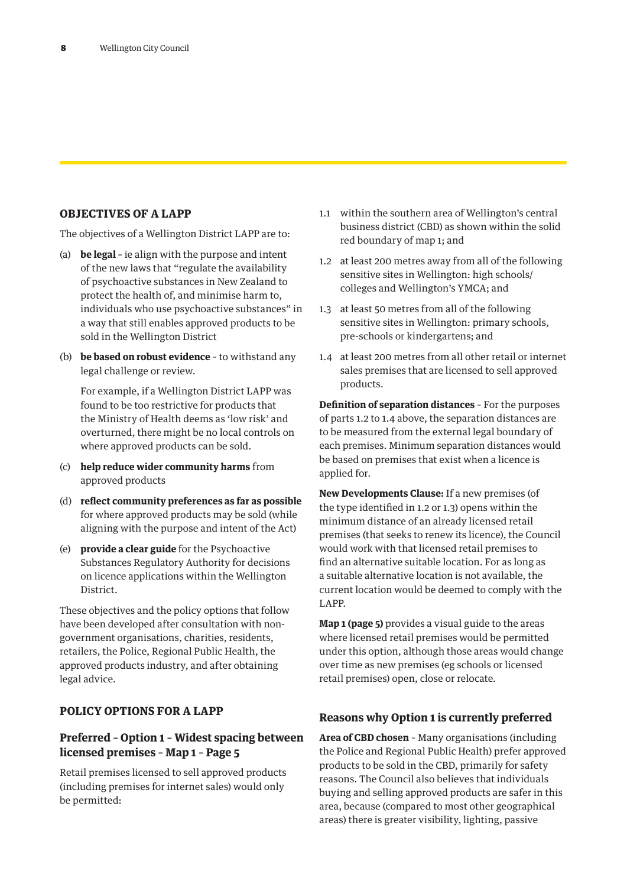#### **OBJECTIVES OF A LAPP**

The objectives of a Wellington District LAPP are to:

- (a) **be legal –** ie align with the purpose and intent of the new laws that "regulate the availability of psychoactive substances in New Zealand to protect the health of, and minimise harm to, individuals who use psychoactive substances" in a way that still enables approved products to be sold in the Wellington District
- (b) **be based on robust evidence**  to withstand any legal challenge or review.

For example, if a Wellington District LAPP was found to be too restrictive for products that the Ministry of Health deems as 'low risk' and overturned, there might be no local controls on where approved products can be sold.

- (c) **help reduce wider community harms** from approved products
- (d) **reflect community preferences as far as possible** for where approved products may be sold (while aligning with the purpose and intent of the Act)
- (e) **provide a clear guide** for the Psychoactive Substances Regulatory Authority for decisions on licence applications within the Wellington District.

These objectives and the policy options that follow have been developed after consultation with nongovernment organisations, charities, residents, retailers, the Police, Regional Public Health, the approved products industry, and after obtaining legal advice.

#### **POLICY OPTIONS FOR A LAPP**

#### **Preferred – Option 1 – Widest spacing between licensed premises – Map 1 – Page 5**

Retail premises licensed to sell approved products (including premises for internet sales) would only be permitted:

- 1.1 within the southern area of Wellington's central business district (CBD) as shown within the solid red boundary of map 1; and
- 1.2 at least 200 metres away from all of the following sensitive sites in Wellington: high schools/ colleges and Wellington's YMCA; and
- 1.3 at least 50 metres from all of the following sensitive sites in Wellington: primary schools, pre-schools or kindergartens; and
- 1.4 at least 200 metres from all other retail or internet sales premises that are licensed to sell approved products.

**Definition of separation distances** – For the purposes of parts 1.2 to 1.4 above, the separation distances are to be measured from the external legal boundary of each premises. Minimum separation distances would be based on premises that exist when a licence is applied for.

**New Developments Clause:** If a new premises (of the type identified in 1.2 or 1.3) opens within the minimum distance of an already licensed retail premises (that seeks to renew its licence), the Council would work with that licensed retail premises to find an alternative suitable location. For as long as a suitable alternative location is not available, the current location would be deemed to comply with the LAPP.

**Map 1 (page 5)** provides a visual guide to the areas where licensed retail premises would be permitted under this option, although those areas would change over time as new premises (eg schools or licensed retail premises) open, close or relocate.

#### **Reasons why Option 1 is currently preferred**

**Area of CBD chosen** – Many organisations (including the Police and Regional Public Health) prefer approved products to be sold in the CBD, primarily for safety reasons. The Council also believes that individuals buying and selling approved products are safer in this area, because (compared to most other geographical areas) there is greater visibility, lighting, passive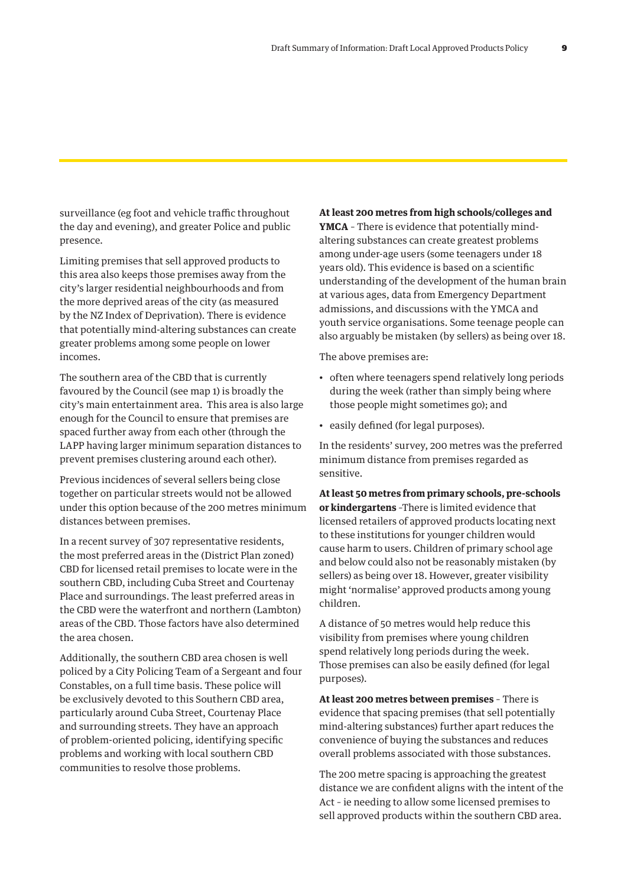surveillance (eg foot and vehicle traffic throughout the day and evening), and greater Police and public presence.

Limiting premises that sell approved products to this area also keeps those premises away from the city's larger residential neighbourhoods and from the more deprived areas of the city (as measured by the NZ Index of Deprivation). There is evidence that potentially mind-altering substances can create greater problems among some people on lower incomes.

The southern area of the CBD that is currently favoured by the Council (see map 1) is broadly the city's main entertainment area. This area is also large enough for the Council to ensure that premises are spaced further away from each other (through the LAPP having larger minimum separation distances to prevent premises clustering around each other).

Previous incidences of several sellers being close together on particular streets would not be allowed under this option because of the 200 metres minimum distances between premises.

In a recent survey of 307 representative residents, the most preferred areas in the (District Plan zoned) CBD for licensed retail premises to locate were in the southern CBD, including Cuba Street and Courtenay Place and surroundings. The least preferred areas in the CBD were the waterfront and northern (Lambton) areas of the CBD. Those factors have also determined the area chosen.

Additionally, the southern CBD area chosen is well policed by a City Policing Team of a Sergeant and four Constables, on a full time basis. These police will be exclusively devoted to this Southern CBD area, particularly around Cuba Street, Courtenay Place and surrounding streets. They have an approach of problem-oriented policing, identifying specific problems and working with local southern CBD communities to resolve those problems.

**At least 200 metres from high schools/colleges and YMCA** – There is evidence that potentially mind-

altering substances can create greatest problems among under-age users (some teenagers under 18 years old). This evidence is based on a scientific understanding of the development of the human brain at various ages, data from Emergency Department admissions, and discussions with the YMCA and youth service organisations. Some teenage people can also arguably be mistaken (by sellers) as being over 18.

The above premises are:

- often where teenagers spend relatively long periods during the week (rather than simply being where those people might sometimes go); and
- easily defined (for legal purposes).

In the residents' survey, 200 metres was the preferred minimum distance from premises regarded as sensitive.

**At least 50 metres from primary schools, pre-schools or kindergartens** –There is limited evidence that licensed retailers of approved products locating next to these institutions for younger children would cause harm to users. Children of primary school age and below could also not be reasonably mistaken (by sellers) as being over 18. However, greater visibility might 'normalise' approved products among young children.

A distance of 50 metres would help reduce this visibility from premises where young children spend relatively long periods during the week. Those premises can also be easily defined (for legal purposes).

**At least 200 metres between premises** – There is evidence that spacing premises (that sell potentially mind-altering substances) further apart reduces the convenience of buying the substances and reduces overall problems associated with those substances.

The 200 metre spacing is approaching the greatest distance we are confident aligns with the intent of the Act – ie needing to allow some licensed premises to sell approved products within the southern CBD area.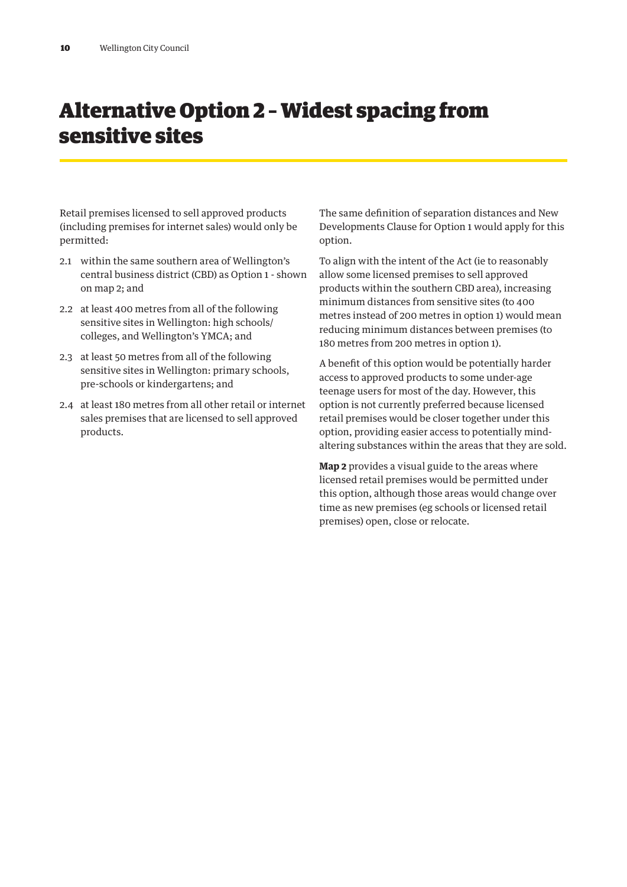## Alternative Option 2 – Widest spacing from sensitive sites

Retail premises licensed to sell approved products (including premises for internet sales) would only be permitted:

- 2.1 within the same southern area of Wellington's central business district (CBD) as Option 1 - shown on map 2; and
- 2.2 at least 400 metres from all of the following sensitive sites in Wellington: high schools/ colleges, and Wellington's YMCA; and
- 2.3 at least 50 metres from all of the following sensitive sites in Wellington: primary schools, pre-schools or kindergartens; and
- 2.4 at least 180 metres from all other retail or internet sales premises that are licensed to sell approved products.

The same definition of separation distances and New Developments Clause for Option 1 would apply for this option.

To align with the intent of the Act (ie to reasonably allow some licensed premises to sell approved products within the southern CBD area), increasing minimum distances from sensitive sites (to 400 metres instead of 200 metres in option 1) would mean reducing minimum distances between premises (to 180 metres from 200 metres in option 1).

A benefit of this option would be potentially harder access to approved products to some under-age teenage users for most of the day. However, this option is not currently preferred because licensed retail premises would be closer together under this option, providing easier access to potentially mindaltering substances within the areas that they are sold.

**Map 2** provides a visual guide to the areas where licensed retail premises would be permitted under this option, although those areas would change over time as new premises (eg schools or licensed retail premises) open, close or relocate.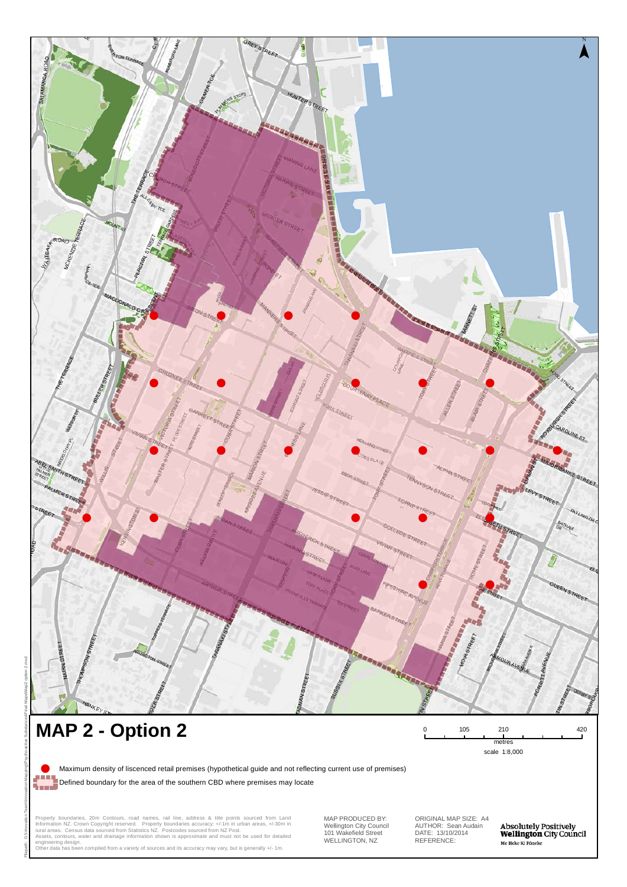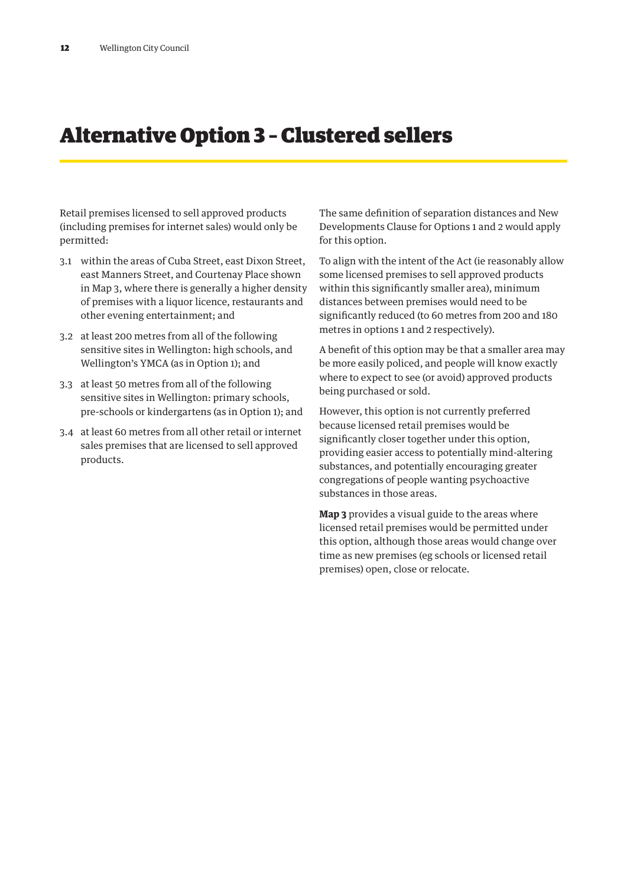### Alternative Option 3 – Clustered sellers

Retail premises licensed to sell approved products (including premises for internet sales) would only be permitted:

- 3.1 within the areas of Cuba Street, east Dixon Street, east Manners Street, and Courtenay Place shown in Map 3, where there is generally a higher density of premises with a liquor licence, restaurants and other evening entertainment; and
- 3.2 at least 200 metres from all of the following sensitive sites in Wellington: high schools, and Wellington's YMCA (as in Option 1); and
- 3.3 at least 50 metres from all of the following sensitive sites in Wellington: primary schools, pre-schools or kindergartens (as in Option 1); and
- 3.4 at least 60 metres from all other retail or internet sales premises that are licensed to sell approved products.

The same definition of separation distances and New Developments Clause for Options 1 and 2 would apply for this option.

To align with the intent of the Act (ie reasonably allow some licensed premises to sell approved products within this significantly smaller area), minimum distances between premises would need to be significantly reduced (to 60 metres from 200 and 180 metres in options 1 and 2 respectively).

A benefit of this option may be that a smaller area may be more easily policed, and people will know exactly where to expect to see (or avoid) approved products being purchased or sold.

However, this option is not currently preferred because licensed retail premises would be significantly closer together under this option, providing easier access to potentially mind-altering substances, and potentially encouraging greater congregations of people wanting psychoactive substances in those areas.

**Map 3** provides a visual guide to the areas where licensed retail premises would be permitted under this option, although those areas would change over time as new premises (eg schools or licensed retail premises) open, close or relocate.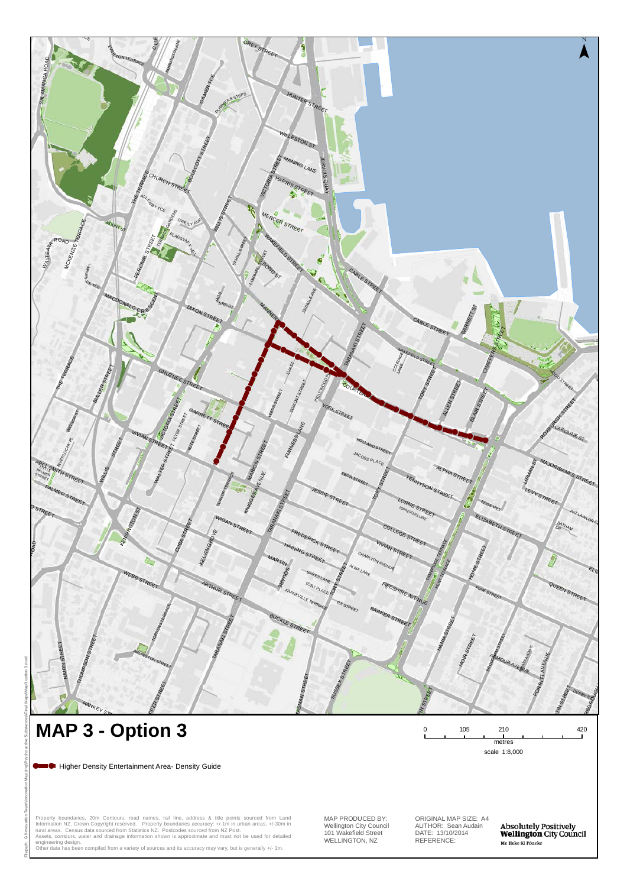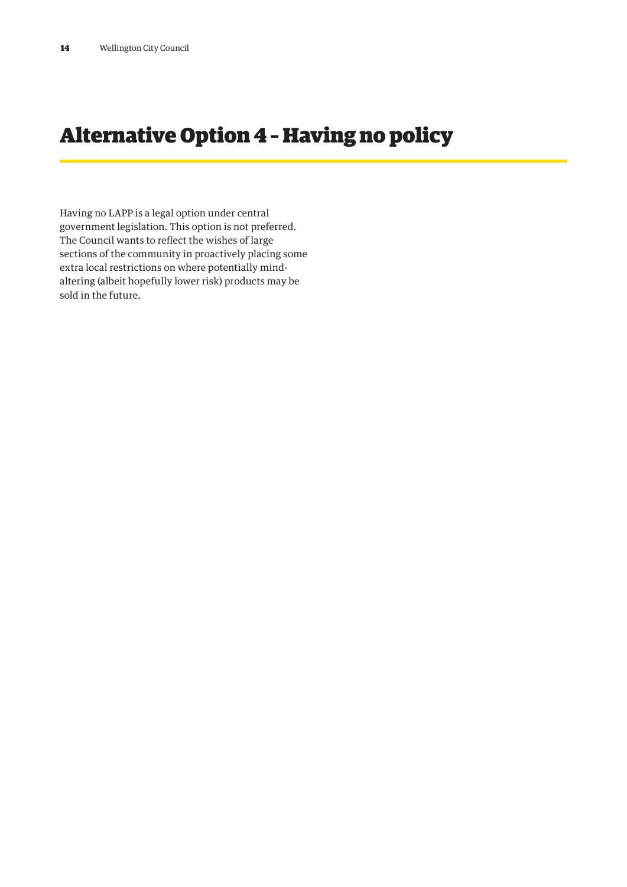# Alternative Option 4 – Having no policy

Having no LAPP is a legal option under central government legislation. This option is not preferred. The Council wants to reflect the wishes of large sections of the community in proactively placing some extra local restrictions on where potentially mindaltering (albeit hopefully lower risk) products may be sold in the future.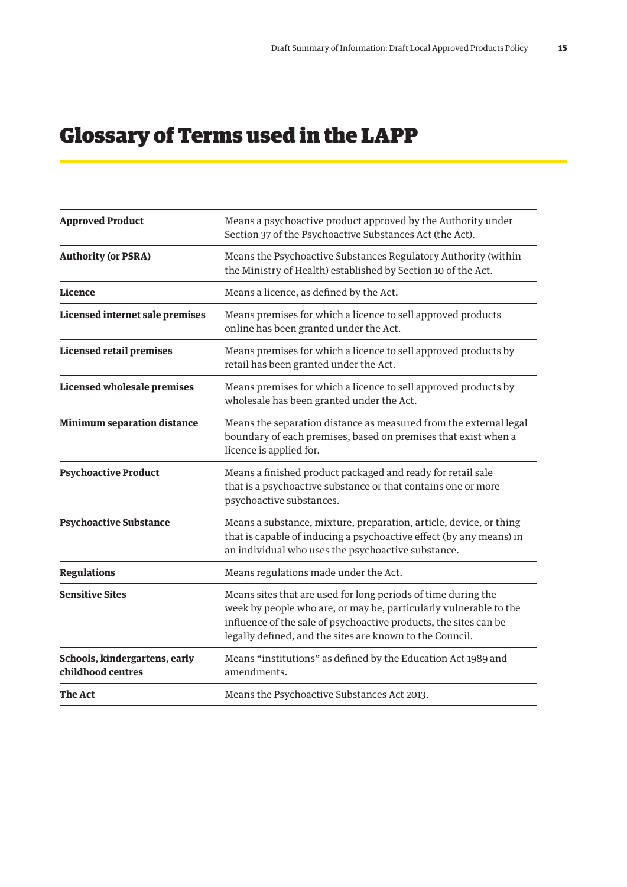# Glossary of Terms used in the LAPP

| <b>Approved Product</b>                            | Means a psychoactive product approved by the Authority under<br>Section 37 of the Psychoactive Substances Act (the Act).                                                                                                                                           |
|----------------------------------------------------|--------------------------------------------------------------------------------------------------------------------------------------------------------------------------------------------------------------------------------------------------------------------|
| <b>Authority (or PSRA)</b>                         | Means the Psychoactive Substances Regulatory Authority (within<br>the Ministry of Health) established by Section 10 of the Act.                                                                                                                                    |
| Licence                                            | Means a licence, as defined by the Act.                                                                                                                                                                                                                            |
| <b>Licensed internet sale premises</b>             | Means premises for which a licence to sell approved products<br>online has been granted under the Act.                                                                                                                                                             |
| <b>Licensed retail premises</b>                    | Means premises for which a licence to sell approved products by<br>retail has been granted under the Act.                                                                                                                                                          |
| <b>Licensed wholesale premises</b>                 | Means premises for which a licence to sell approved products by<br>wholesale has been granted under the Act.                                                                                                                                                       |
| <b>Minimum separation distance</b>                 | Means the separation distance as measured from the external legal<br>boundary of each premises, based on premises that exist when a<br>licence is applied for.                                                                                                     |
| <b>Psychoactive Product</b>                        | Means a finished product packaged and ready for retail sale<br>that is a psychoactive substance or that contains one or more<br>psychoactive substances.                                                                                                           |
| <b>Psychoactive Substance</b>                      | Means a substance, mixture, preparation, article, device, or thing<br>that is capable of inducing a psychoactive effect (by any means) in<br>an individual who uses the psychoactive substance.                                                                    |
| <b>Regulations</b>                                 | Means regulations made under the Act.                                                                                                                                                                                                                              |
| <b>Sensitive Sites</b>                             | Means sites that are used for long periods of time during the<br>week by people who are, or may be, particularly vulnerable to the<br>influence of the sale of psychoactive products, the sites can be<br>legally defined, and the sites are known to the Council. |
| Schools, kindergartens, early<br>childhood centres | Means "institutions" as defined by the Education Act 1989 and<br>amendments.                                                                                                                                                                                       |
| The Act                                            | Means the Psychoactive Substances Act 2013.                                                                                                                                                                                                                        |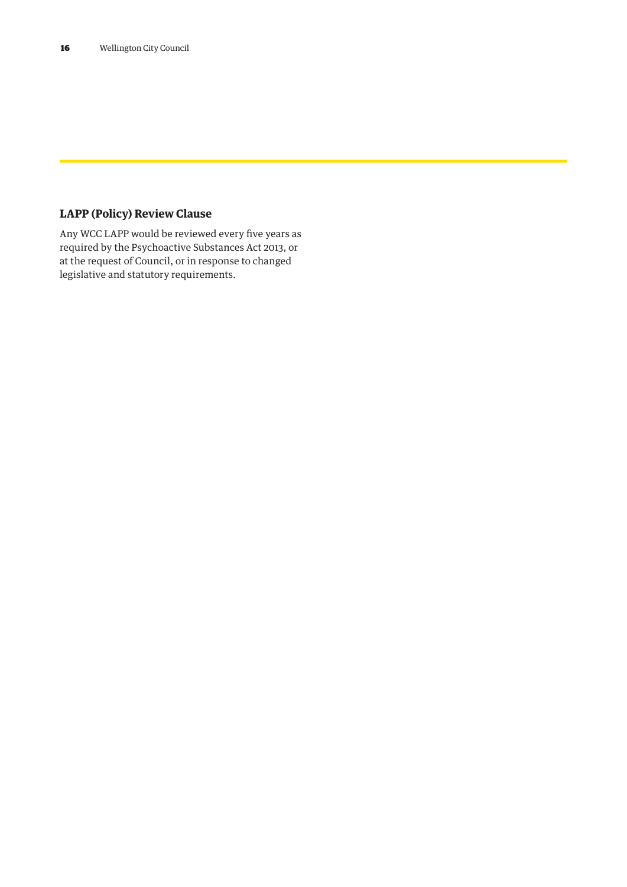### **LAPP (Policy) Review Clause**

Any WCC LAPP would be reviewed every five years as required by the Psychoactive Substances Act 2013, or at the request of Council, or in response to changed legislative and statutory requirements.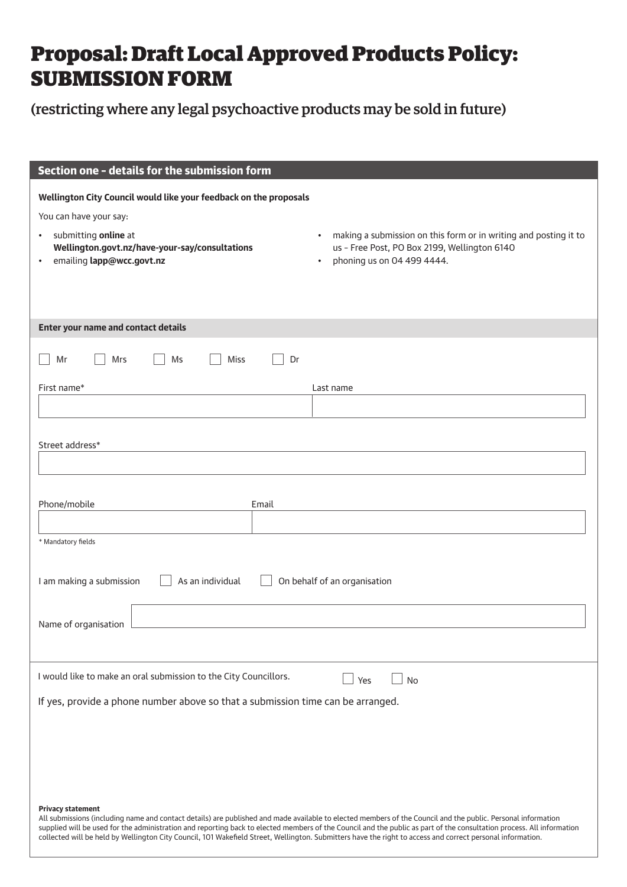# Proposal: Draft Local Approved Products Policy: SUBMISSION FORM

(restricting where any legal psychoactive products may be sold in future)

| Section one - details for the submission form                                                                                                                                                                                                                                                                                                                                                                                                                                                                                   |                                                                                                                                                                          |
|---------------------------------------------------------------------------------------------------------------------------------------------------------------------------------------------------------------------------------------------------------------------------------------------------------------------------------------------------------------------------------------------------------------------------------------------------------------------------------------------------------------------------------|--------------------------------------------------------------------------------------------------------------------------------------------------------------------------|
| Wellington City Council would like your feedback on the proposals<br>You can have your say:<br>submitting online at<br>$\bullet$<br>Wellington.govt.nz/have-your-say/consultations<br>emailing lapp@wcc.govt.nz<br>$\bullet$                                                                                                                                                                                                                                                                                                    | making a submission on this form or in writing and posting it to<br>$\bullet$<br>us - Free Post, PO Box 2199, Wellington 6140<br>phoning us on 04 499 4444.<br>$\bullet$ |
| Enter your name and contact details                                                                                                                                                                                                                                                                                                                                                                                                                                                                                             |                                                                                                                                                                          |
|                                                                                                                                                                                                                                                                                                                                                                                                                                                                                                                                 |                                                                                                                                                                          |
| <b>Miss</b><br>Mr<br>Mrs<br>Ms<br>Dr                                                                                                                                                                                                                                                                                                                                                                                                                                                                                            |                                                                                                                                                                          |
| First name*                                                                                                                                                                                                                                                                                                                                                                                                                                                                                                                     | Last name                                                                                                                                                                |
|                                                                                                                                                                                                                                                                                                                                                                                                                                                                                                                                 |                                                                                                                                                                          |
| Street address*                                                                                                                                                                                                                                                                                                                                                                                                                                                                                                                 |                                                                                                                                                                          |
| Email                                                                                                                                                                                                                                                                                                                                                                                                                                                                                                                           |                                                                                                                                                                          |
| Phone/mobile                                                                                                                                                                                                                                                                                                                                                                                                                                                                                                                    |                                                                                                                                                                          |
| * Mandatory fields                                                                                                                                                                                                                                                                                                                                                                                                                                                                                                              |                                                                                                                                                                          |
| I am making a submission<br>As an individual                                                                                                                                                                                                                                                                                                                                                                                                                                                                                    | On behalf of an organisation                                                                                                                                             |
| Name of organisation                                                                                                                                                                                                                                                                                                                                                                                                                                                                                                            |                                                                                                                                                                          |
|                                                                                                                                                                                                                                                                                                                                                                                                                                                                                                                                 |                                                                                                                                                                          |
| I would like to make an oral submission to the City Councillors.                                                                                                                                                                                                                                                                                                                                                                                                                                                                | No<br>Yes                                                                                                                                                                |
| If yes, provide a phone number above so that a submission time can be arranged.                                                                                                                                                                                                                                                                                                                                                                                                                                                 |                                                                                                                                                                          |
|                                                                                                                                                                                                                                                                                                                                                                                                                                                                                                                                 |                                                                                                                                                                          |
|                                                                                                                                                                                                                                                                                                                                                                                                                                                                                                                                 |                                                                                                                                                                          |
|                                                                                                                                                                                                                                                                                                                                                                                                                                                                                                                                 |                                                                                                                                                                          |
| <b>Privacy statement</b><br>All submissions (including name and contact details) are published and made available to elected members of the Council and the public. Personal information<br>supplied will be used for the administration and reporting back to elected members of the Council and the public as part of the consultation process. All information<br>collected will be held by Wellington City Council, 101 Wakefield Street, Wellington. Submitters have the right to access and correct personal information. |                                                                                                                                                                          |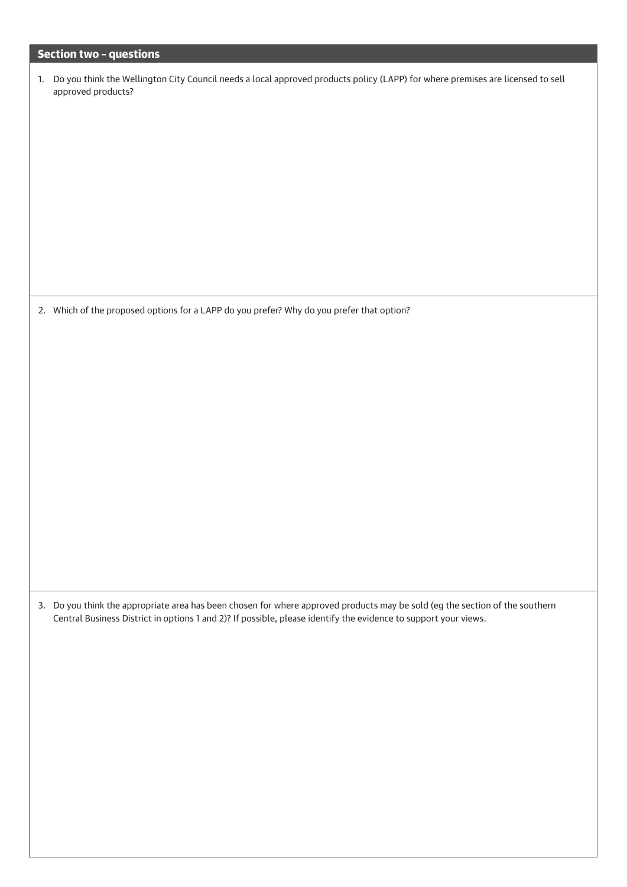### Section two – questions

| 1. Do you think the Wellington City Council needs a local approved products policy (LAPP) for where premises are licensed to sell |
|-----------------------------------------------------------------------------------------------------------------------------------|
| approved products?                                                                                                                |

2. Which of the proposed options for a LAPP do you prefer? Why do you prefer that option?

3. Do you think the appropriate area has been chosen for where approved products may be sold (eg the section of the southern Central Business District in options 1 and 2)? If possible, please identify the evidence to support your views.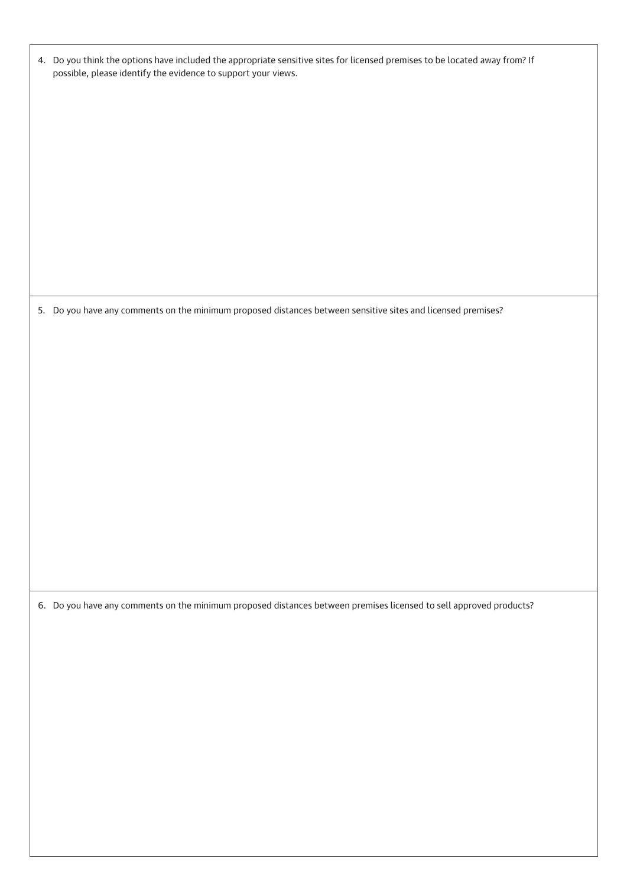| 4. Do you think the options have included the appropriate sensitive sites for licensed premises to be located away from? If |
|-----------------------------------------------------------------------------------------------------------------------------|
| possible, please identify the evidence to support your views.                                                               |

5. Do you have any comments on the minimum proposed distances between sensitive sites and licensed premises?

6. Do you have any comments on the minimum proposed distances between premises licensed to sell approved products?